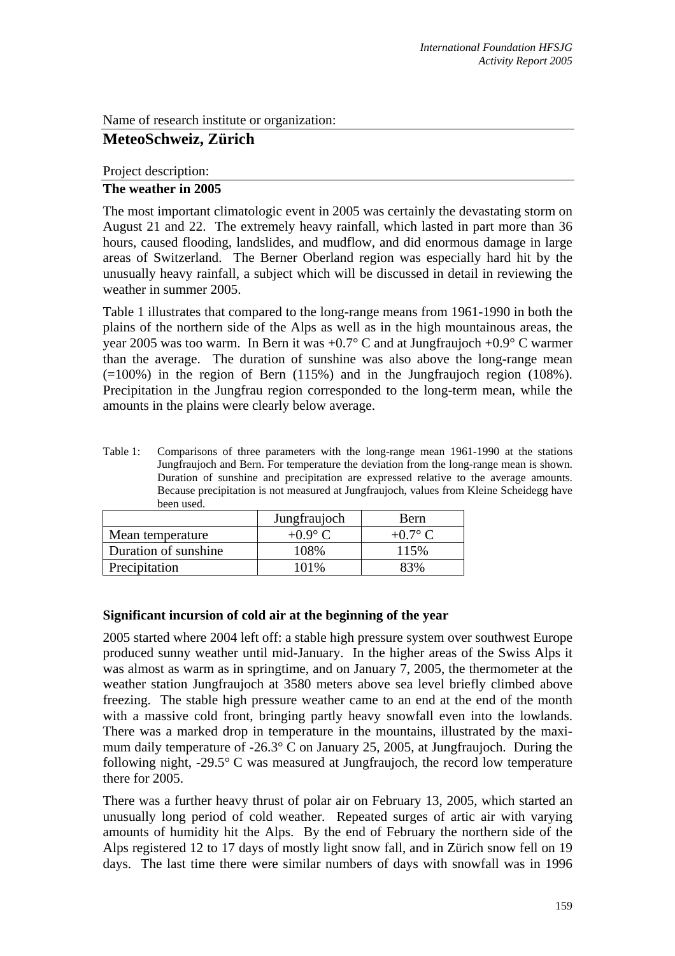Name of research institute or organization:

# **MeteoSchweiz, Zürich**

Project description:

#### **The weather in 2005**

The most important climatologic event in 2005 was certainly the devastating storm on August 21 and 22. The extremely heavy rainfall, which lasted in part more than 36 hours, caused flooding, landslides, and mudflow, and did enormous damage in large areas of Switzerland. The Berner Oberland region was especially hard hit by the unusually heavy rainfall, a subject which will be discussed in detail in reviewing the weather in summer 2005.

Table 1 illustrates that compared to the long-range means from 1961-1990 in both the plains of the northern side of the Alps as well as in the high mountainous areas, the year 2005 was too warm. In Bern it was +0.7° C and at Jungfraujoch +0.9° C warmer than the average. The duration of sunshine was also above the long-range mean  $(=100\%)$  in the region of Bern  $(115\%)$  and in the Jungfraujoch region  $(108\%).$ Precipitation in the Jungfrau region corresponded to the long-term mean, while the amounts in the plains were clearly below average.

Table 1: Comparisons of three parameters with the long-range mean 1961-1990 at the stations Jungfraujoch and Bern. For temperature the deviation from the long-range mean is shown. Duration of sunshine and precipitation are expressed relative to the average amounts. Because precipitation is not measured at Jungfraujoch, values from Kleine Scheidegg have been used.

|                      | Jungfraujoch   | Bern      |
|----------------------|----------------|-----------|
| Mean temperature     | $+0.9^\circ$ C | $+0.7$ °C |
| Duration of sunshine | 108%           | 115%      |
| Precipitation        | $101\%$        | 83%       |

#### **Significant incursion of cold air at the beginning of the year**

2005 started where 2004 left off: a stable high pressure system over southwest Europe produced sunny weather until mid-January. In the higher areas of the Swiss Alps it was almost as warm as in springtime, and on January 7, 2005, the thermometer at the weather station Jungfraujoch at 3580 meters above sea level briefly climbed above freezing. The stable high pressure weather came to an end at the end of the month with a massive cold front, bringing partly heavy snowfall even into the lowlands. There was a marked drop in temperature in the mountains, illustrated by the maximum daily temperature of -26.3° C on January 25, 2005, at Jungfraujoch. During the following night, -29.5° C was measured at Jungfraujoch, the record low temperature there for 2005.

There was a further heavy thrust of polar air on February 13, 2005, which started an unusually long period of cold weather. Repeated surges of artic air with varying amounts of humidity hit the Alps. By the end of February the northern side of the Alps registered 12 to 17 days of mostly light snow fall, and in Zürich snow fell on 19 days. The last time there were similar numbers of days with snowfall was in 1996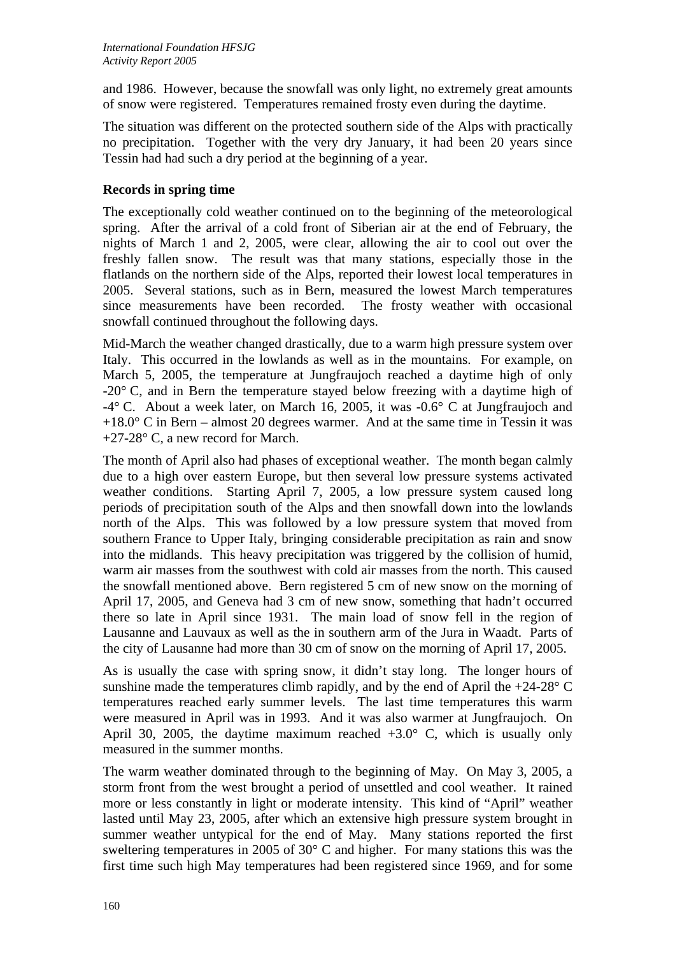and 1986. However, because the snowfall was only light, no extremely great amounts of snow were registered. Temperatures remained frosty even during the daytime.

The situation was different on the protected southern side of the Alps with practically no precipitation. Together with the very dry January, it had been 20 years since Tessin had had such a dry period at the beginning of a year.

## **Records in spring time**

The exceptionally cold weather continued on to the beginning of the meteorological spring. After the arrival of a cold front of Siberian air at the end of February, the nights of March 1 and 2, 2005, were clear, allowing the air to cool out over the freshly fallen snow. The result was that many stations, especially those in the flatlands on the northern side of the Alps, reported their lowest local temperatures in 2005. Several stations, such as in Bern, measured the lowest March temperatures since measurements have been recorded. The frosty weather with occasional snowfall continued throughout the following days.

Mid-March the weather changed drastically, due to a warm high pressure system over Italy. This occurred in the lowlands as well as in the mountains. For example, on March 5, 2005, the temperature at Jungfraujoch reached a daytime high of only -20° C, and in Bern the temperature stayed below freezing with a daytime high of  $-4^{\circ}$  C. About a week later, on March 16, 2005, it was  $-0.6^{\circ}$  C at Jungfraujoch and  $+18.0^{\circ}$  C in Bern – almost 20 degrees warmer. And at the same time in Tessin it was +27-28° C, a new record for March.

The month of April also had phases of exceptional weather. The month began calmly due to a high over eastern Europe, but then several low pressure systems activated weather conditions. Starting April 7, 2005, a low pressure system caused long periods of precipitation south of the Alps and then snowfall down into the lowlands north of the Alps. This was followed by a low pressure system that moved from southern France to Upper Italy, bringing considerable precipitation as rain and snow into the midlands. This heavy precipitation was triggered by the collision of humid, warm air masses from the southwest with cold air masses from the north. This caused the snowfall mentioned above. Bern registered 5 cm of new snow on the morning of April 17, 2005, and Geneva had 3 cm of new snow, something that hadn't occurred there so late in April since 1931. The main load of snow fell in the region of Lausanne and Lauvaux as well as the in southern arm of the Jura in Waadt. Parts of the city of Lausanne had more than 30 cm of snow on the morning of April 17, 2005.

As is usually the case with spring snow, it didn't stay long. The longer hours of sunshine made the temperatures climb rapidly, and by the end of April the  $+24-28$ ° C temperatures reached early summer levels. The last time temperatures this warm were measured in April was in 1993. And it was also warmer at Jungfraujoch. On April 30, 2005, the daytime maximum reached  $+3.0^{\circ}$  C, which is usually only measured in the summer months.

The warm weather dominated through to the beginning of May. On May 3, 2005, a storm front from the west brought a period of unsettled and cool weather. It rained more or less constantly in light or moderate intensity. This kind of "April" weather lasted until May 23, 2005, after which an extensive high pressure system brought in summer weather untypical for the end of May. Many stations reported the first sweltering temperatures in 2005 of 30° C and higher. For many stations this was the first time such high May temperatures had been registered since 1969, and for some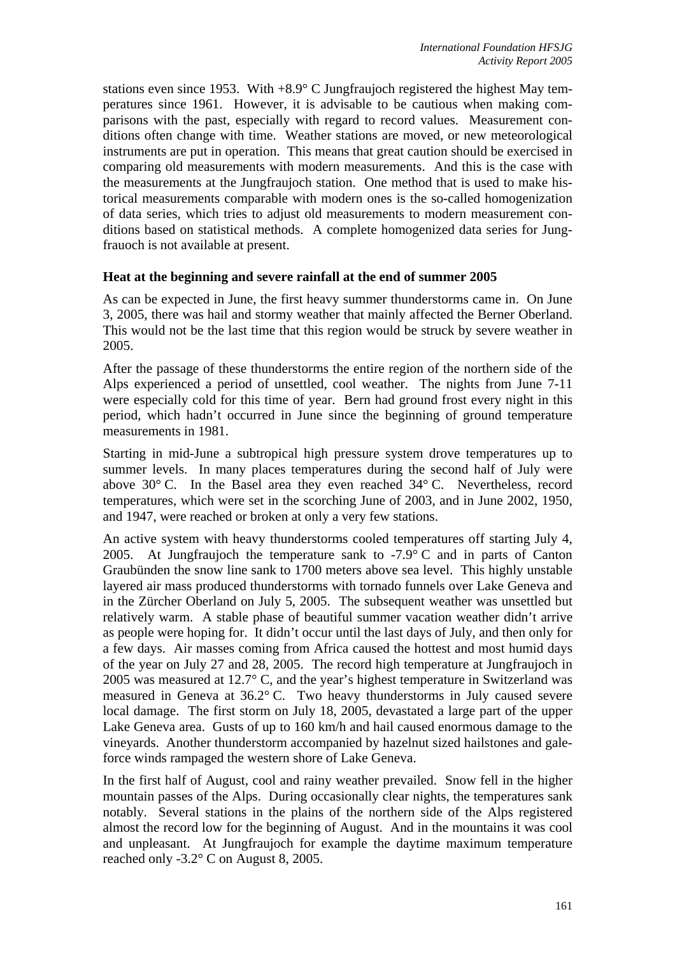stations even since 1953. With +8.9° C Jungfraujoch registered the highest May temperatures since 1961. However, it is advisable to be cautious when making comparisons with the past, especially with regard to record values. Measurement conditions often change with time. Weather stations are moved, or new meteorological instruments are put in operation. This means that great caution should be exercised in comparing old measurements with modern measurements. And this is the case with the measurements at the Jungfraujoch station. One method that is used to make historical measurements comparable with modern ones is the so-called homogenization of data series, which tries to adjust old measurements to modern measurement conditions based on statistical methods. A complete homogenized data series for Jungfrauoch is not available at present.

#### **Heat at the beginning and severe rainfall at the end of summer 2005**

As can be expected in June, the first heavy summer thunderstorms came in. On June 3, 2005, there was hail and stormy weather that mainly affected the Berner Oberland. This would not be the last time that this region would be struck by severe weather in 2005.

After the passage of these thunderstorms the entire region of the northern side of the Alps experienced a period of unsettled, cool weather. The nights from June 7-11 were especially cold for this time of year. Bern had ground frost every night in this period, which hadn't occurred in June since the beginning of ground temperature measurements in 1981.

Starting in mid-June a subtropical high pressure system drove temperatures up to summer levels. In many places temperatures during the second half of July were above  $30^{\circ}$  C. In the Basel area they even reached  $34^{\circ}$  C. Nevertheless, record temperatures, which were set in the scorching June of 2003, and in June 2002, 1950, and 1947, were reached or broken at only a very few stations.

An active system with heavy thunderstorms cooled temperatures off starting July 4, 2005. At Jungfraujoch the temperature sank to  $-7.9^{\circ}$  C and in parts of Canton Graubünden the snow line sank to 1700 meters above sea level. This highly unstable layered air mass produced thunderstorms with tornado funnels over Lake Geneva and in the Zürcher Oberland on July 5, 2005. The subsequent weather was unsettled but relatively warm. A stable phase of beautiful summer vacation weather didn't arrive as people were hoping for. It didn't occur until the last days of July, and then only for a few days. Air masses coming from Africa caused the hottest and most humid days of the year on July 27 and 28, 2005. The record high temperature at Jungfraujoch in 2005 was measured at 12.7° C, and the year's highest temperature in Switzerland was measured in Geneva at 36.2° C. Two heavy thunderstorms in July caused severe local damage. The first storm on July 18, 2005, devastated a large part of the upper Lake Geneva area. Gusts of up to 160 km/h and hail caused enormous damage to the vineyards. Another thunderstorm accompanied by hazelnut sized hailstones and galeforce winds rampaged the western shore of Lake Geneva.

In the first half of August, cool and rainy weather prevailed. Snow fell in the higher mountain passes of the Alps. During occasionally clear nights, the temperatures sank notably. Several stations in the plains of the northern side of the Alps registered almost the record low for the beginning of August. And in the mountains it was cool and unpleasant. At Jungfraujoch for example the daytime maximum temperature reached only -3.2° C on August 8, 2005.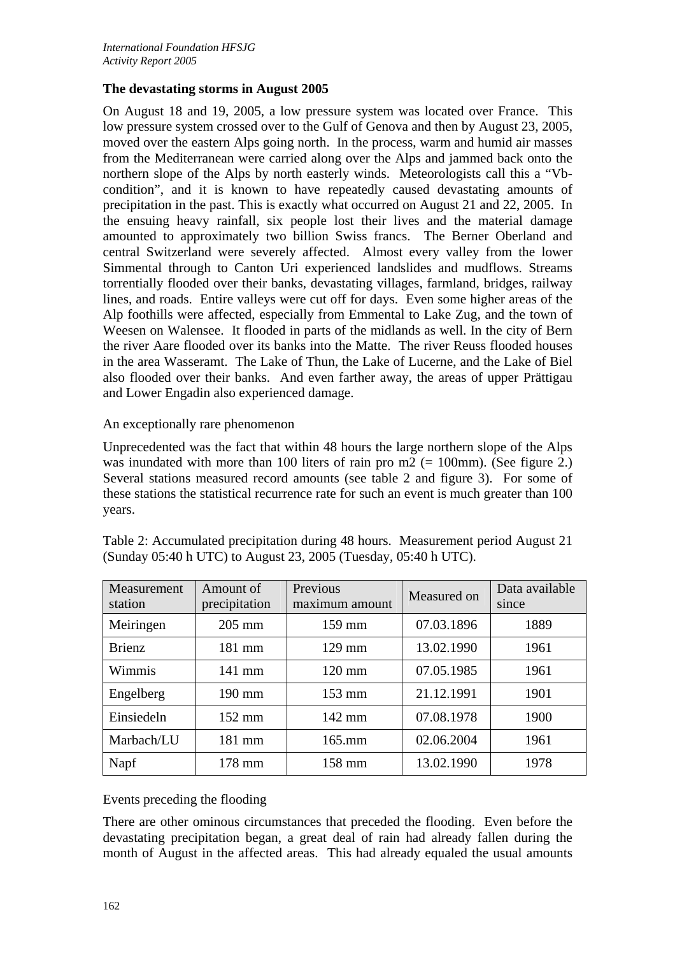#### **The devastating storms in August 2005**

On August 18 and 19, 2005, a low pressure system was located over France. This low pressure system crossed over to the Gulf of Genova and then by August 23, 2005, moved over the eastern Alps going north. In the process, warm and humid air masses from the Mediterranean were carried along over the Alps and jammed back onto the northern slope of the Alps by north easterly winds. Meteorologists call this a "Vbcondition", and it is known to have repeatedly caused devastating amounts of precipitation in the past. This is exactly what occurred on August 21 and 22, 2005. In the ensuing heavy rainfall, six people lost their lives and the material damage amounted to approximately two billion Swiss francs. The Berner Oberland and central Switzerland were severely affected. Almost every valley from the lower Simmental through to Canton Uri experienced landslides and mudflows. Streams torrentially flooded over their banks, devastating villages, farmland, bridges, railway lines, and roads. Entire valleys were cut off for days. Even some higher areas of the Alp foothills were affected, especially from Emmental to Lake Zug, and the town of Weesen on Walensee. It flooded in parts of the midlands as well. In the city of Bern the river Aare flooded over its banks into the Matte. The river Reuss flooded houses in the area Wasseramt. The Lake of Thun, the Lake of Lucerne, and the Lake of Biel also flooded over their banks. And even farther away, the areas of upper Prättigau and Lower Engadin also experienced damage.

#### An exceptionally rare phenomenon

Unprecedented was the fact that within 48 hours the large northern slope of the Alps was inundated with more than 100 liters of rain pro  $m2$  (= 100mm). (See figure 2.) Several stations measured record amounts (see table 2 and figure 3). For some of these stations the statistical recurrence rate for such an event is much greater than 100 years.

| Measurement<br>station | Amount of<br>precipitation | Previous<br>maximum amount | Measured on | Data available<br>since |
|------------------------|----------------------------|----------------------------|-------------|-------------------------|
| Meiringen              | $205$ mm                   | 159 mm                     | 07.03.1896  | 1889                    |
| <b>Brienz</b>          | 181 mm                     | $129$ mm                   | 13.02.1990  | 1961                    |
| Wimmis                 | $141$ mm                   | $120 \text{ mm}$           | 07.05.1985  | 1961                    |
| Engelberg              | 190 mm                     | $153 \text{ mm}$           | 21.12.1991  | 1901                    |
| Einsiedeln             | $152 \text{ mm}$           | $142 \text{ mm}$           | 07.08.1978  | 1900                    |
| Marbach/LU             | 181 mm                     | $165$ .mm                  | 02.06.2004  | 1961                    |
| Napf                   | $178$ mm                   | 158 mm                     | 13.02.1990  | 1978                    |

Table 2: Accumulated precipitation during 48 hours. Measurement period August 21 (Sunday 05:40 h UTC) to August 23, 2005 (Tuesday, 05:40 h UTC).

# Events preceding the flooding

There are other ominous circumstances that preceded the flooding. Even before the devastating precipitation began, a great deal of rain had already fallen during the month of August in the affected areas. This had already equaled the usual amounts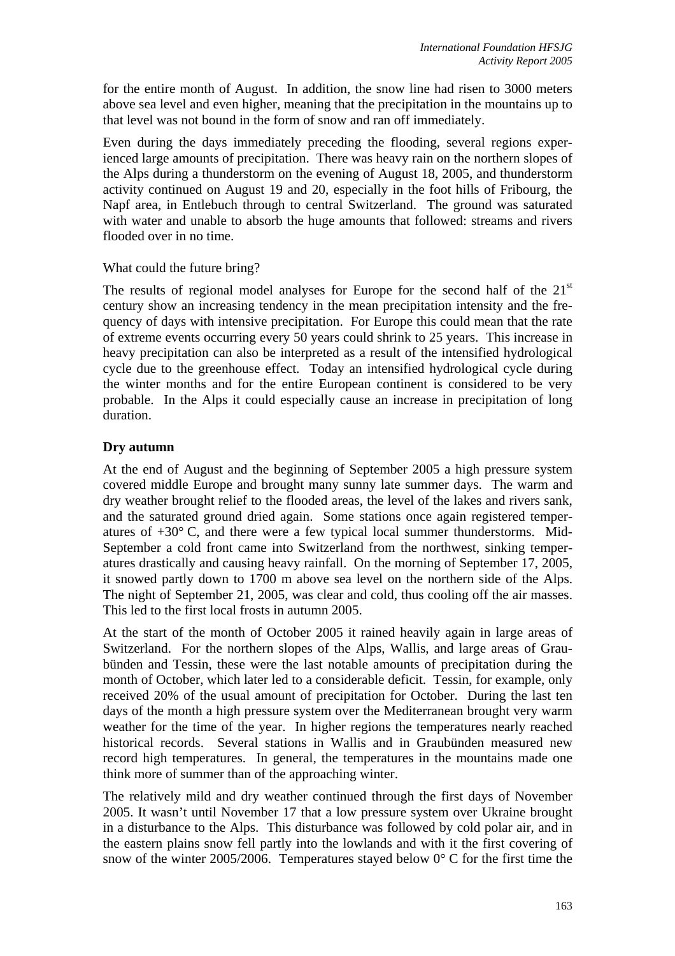for the entire month of August. In addition, the snow line had risen to 3000 meters above sea level and even higher, meaning that the precipitation in the mountains up to that level was not bound in the form of snow and ran off immediately.

Even during the days immediately preceding the flooding, several regions experienced large amounts of precipitation. There was heavy rain on the northern slopes of the Alps during a thunderstorm on the evening of August 18, 2005, and thunderstorm activity continued on August 19 and 20, especially in the foot hills of Fribourg, the Napf area, in Entlebuch through to central Switzerland. The ground was saturated with water and unable to absorb the huge amounts that followed: streams and rivers flooded over in no time.

#### What could the future bring?

The results of regional model analyses for Europe for the second half of the  $21<sup>st</sup>$ century show an increasing tendency in the mean precipitation intensity and the frequency of days with intensive precipitation. For Europe this could mean that the rate of extreme events occurring every 50 years could shrink to 25 years. This increase in heavy precipitation can also be interpreted as a result of the intensified hydrological cycle due to the greenhouse effect. Today an intensified hydrological cycle during the winter months and for the entire European continent is considered to be very probable. In the Alps it could especially cause an increase in precipitation of long duration.

## **Dry autumn**

At the end of August and the beginning of September 2005 a high pressure system covered middle Europe and brought many sunny late summer days. The warm and dry weather brought relief to the flooded areas, the level of the lakes and rivers sank, and the saturated ground dried again. Some stations once again registered temperatures of  $+30^{\circ}$  C, and there were a few typical local summer thunderstorms. Mid-September a cold front came into Switzerland from the northwest, sinking temperatures drastically and causing heavy rainfall. On the morning of September 17, 2005, it snowed partly down to 1700 m above sea level on the northern side of the Alps. The night of September 21, 2005, was clear and cold, thus cooling off the air masses. This led to the first local frosts in autumn 2005.

At the start of the month of October 2005 it rained heavily again in large areas of Switzerland. For the northern slopes of the Alps, Wallis, and large areas of Graubünden and Tessin, these were the last notable amounts of precipitation during the month of October, which later led to a considerable deficit. Tessin, for example, only received 20% of the usual amount of precipitation for October. During the last ten days of the month a high pressure system over the Mediterranean brought very warm weather for the time of the year. In higher regions the temperatures nearly reached historical records. Several stations in Wallis and in Graubünden measured new record high temperatures. In general, the temperatures in the mountains made one think more of summer than of the approaching winter.

The relatively mild and dry weather continued through the first days of November 2005. It wasn't until November 17 that a low pressure system over Ukraine brought in a disturbance to the Alps. This disturbance was followed by cold polar air, and in the eastern plains snow fell partly into the lowlands and with it the first covering of snow of the winter 2005/2006. Temperatures stayed below  $0^{\circ}$  C for the first time the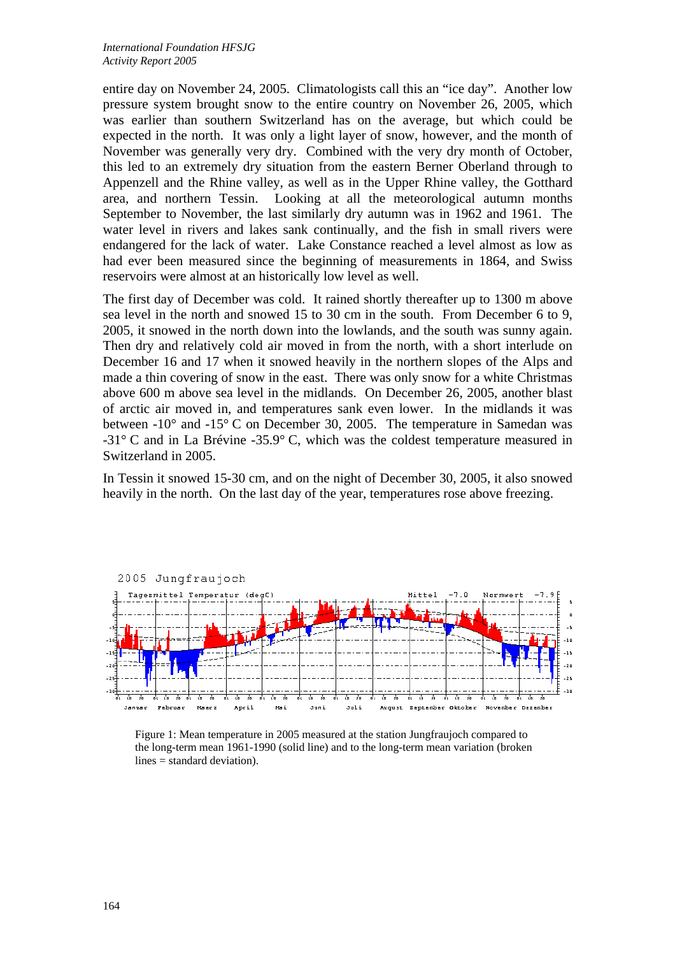entire day on November 24, 2005. Climatologists call this an "ice day". Another low pressure system brought snow to the entire country on November 26, 2005, which was earlier than southern Switzerland has on the average, but which could be expected in the north. It was only a light layer of snow, however, and the month of November was generally very dry. Combined with the very dry month of October, this led to an extremely dry situation from the eastern Berner Oberland through to Appenzell and the Rhine valley, as well as in the Upper Rhine valley, the Gotthard area, and northern Tessin. Looking at all the meteorological autumn months September to November, the last similarly dry autumn was in 1962 and 1961. The water level in rivers and lakes sank continually, and the fish in small rivers were endangered for the lack of water. Lake Constance reached a level almost as low as had ever been measured since the beginning of measurements in 1864, and Swiss reservoirs were almost at an historically low level as well.

The first day of December was cold. It rained shortly thereafter up to 1300 m above sea level in the north and snowed 15 to 30 cm in the south. From December 6 to 9, 2005, it snowed in the north down into the lowlands, and the south was sunny again. Then dry and relatively cold air moved in from the north, with a short interlude on December 16 and 17 when it snowed heavily in the northern slopes of the Alps and made a thin covering of snow in the east. There was only snow for a white Christmas above 600 m above sea level in the midlands. On December 26, 2005, another blast of arctic air moved in, and temperatures sank even lower. In the midlands it was between -10° and -15° C on December 30, 2005. The temperature in Samedan was -31° C and in La Brévine -35.9° C, which was the coldest temperature measured in Switzerland in 2005.

In Tessin it snowed 15-30 cm, and on the night of December 30, 2005, it also snowed heavily in the north. On the last day of the year, temperatures rose above freezing.



Figure 1: Mean temperature in 2005 measured at the station Jungfraujoch compared to the long-term mean 1961-1990 (solid line) and to the long-term mean variation (broken lines = standard deviation).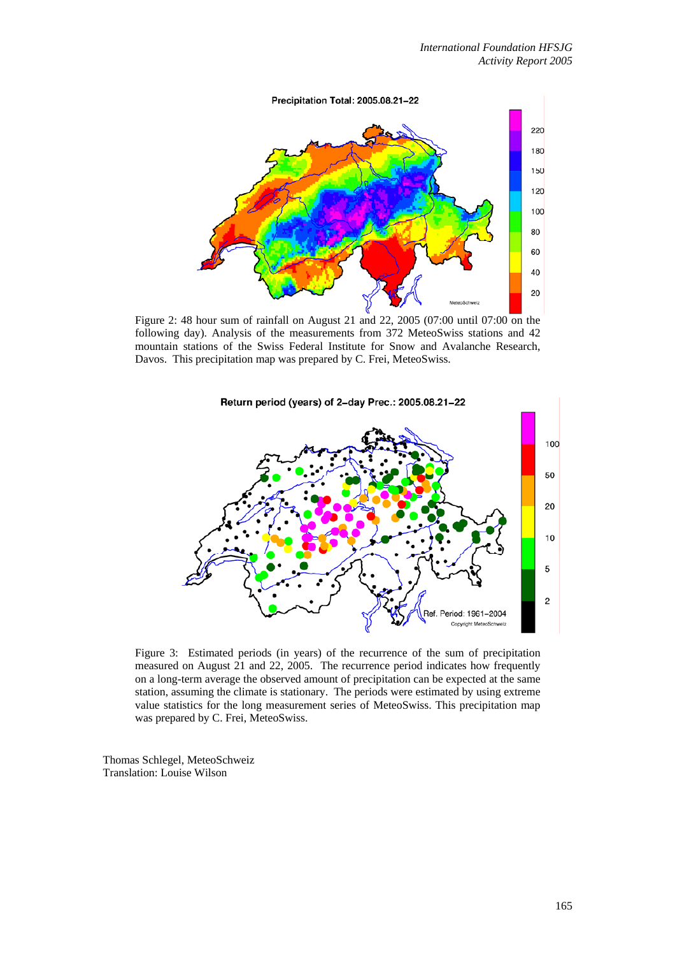

Figure 2: 48 hour sum of rainfall on August 21 and 22, 2005 (07:00 until 07:00 on the following day). Analysis of the measurements from 372 MeteoSwiss stations and 42 mountain stations of the Swiss Federal Institute for Snow and Avalanche Research, Davos. This precipitation map was prepared by C. Frei, MeteoSwiss.



Figure 3: Estimated periods (in years) of the recurrence of the sum of precipitation measured on August 21 and 22, 2005. The recurrence period indicates how frequently on a long-term average the observed amount of precipitation can be expected at the same station, assuming the climate is stationary. The periods were estimated by using extreme value statistics for the long measurement series of MeteoSwiss. This precipitation map was prepared by C. Frei, MeteoSwiss.

Thomas Schlegel, MeteoSchweiz Translation: Louise Wilson